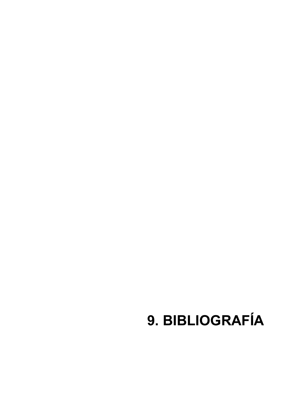## **9. BIBLIOGRAFÍA**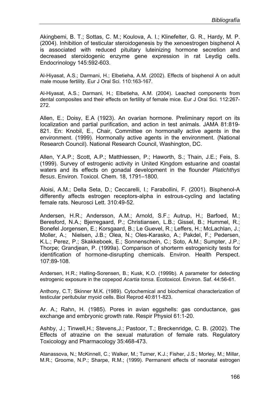Akingbemi, B. T.; Sottas, C. M.; Koulova, A. I.; Klinefelter, G. R., Hardy, M. P. (2004). Inhibition of testicular steroidogenesis by the xenoestrogen bisphenol A is associated with reduced pituitary luteinizing hormone secretion and decreased steroidogenic enzyme gene expression in rat Leydig cells. Endocrinology 145:592-603.

Al-Hiyasat, A.S.; Darmani, H.; Elbetieha, A.M. (2002). Effects of bisphenol A on adult male mouse fertility. Eur J Oral Sci. 110:163-167.

Al-Hiyasat, A.S.; Darmani, H.; Elbetieha, A.M. (2004). Leached components from dental composites and their effects on fertility of female mice. Eur J Oral Sci. 112:267- 272.

Allen, E.; Doisy, E.A (1923). An ovarian hormone. Preliminary report on its localization and partial purification, and action in test animals. JAMA 81:819- 821. En: Knobil, E., Chair, Committee on hormonally active agents in the environment. (1999). Hormonally active agents in the environment. (National Research Council). National Research Council, Washington, DC.

Allen, Y.A.P.; Scott, A.P.; Matthiessen, P.; Haworth, S.; Thain, J.E.; Feis, S. (1999). Survey of estrogenic activity in United Kingdom estuarine and coastal waters and its effects on gonadal development in the flounder *Platichthys flesus*. Environ. Toxicol. Chem. 18, 1791–1800.

Aloisi, A.M.; Della Seta, D.; Ceccarelli, I.; Farabollini, F. (2001). Bisphenol-A differently affects estrogen receptors-alpha in estrous-cycling and lactating female rats. Neurosci Lett. 310:49-52.

Andersen, H.R.; Andersson, A.M.; Arnold, S.F.; Autrup, H.; Barfoed, M.; Beresford, N.A.; Bjerregaard, P.; Christiansen, L.B.; Gissel, B.; Hummel, R.; Bonefel Jorgensen, E.; Korsgaard, B.; Le Guevel, R.; Leffers, H.; McLachlan, J.; Moller, A.; Nielsen, J.B.; Olea, N.; Oles-Karasko, A.; Pakdel, F.; Pedersen, K.L.; Perez, P.; Skakkeboek, E.; Sonnenschein, C.; Soto, A.M.; Sumpter, J.P.; Thorpe; Grandjean, P. (1999a). Comparison of shorterm estrogenicity tests for identification of hormone-disrupting chemicals. Environ. Health Perspect. 107:89-108.

Andersen, H.R.; Halling-Sorensen, B.; Kusk, K.O. (1999b). A parameter for detecting estrogenic exposure in the copepod *Acartia tonsa*. Ecotoxicol. Environ. Saf. 44:56-61.

Anthony, C.T; Skinner M.K. (1989). Cytochemical and biochemical characterization of testicular peritubular myoid cells. Biol Reprod 40:811-823.

Ar. A.; Rahn, H. (1985). Pores in avian eggshells: gas conductance, gas exchange and embryonic growth rate. Respir Physiol 61:1-20.

Ashby, J.; Tinwell,H.; Stevens,J.; Pastoor, T.; Breckenridge, C. B. (2002). The Effects of atrazine on the sexual maturation of female rats. Regulatory Toxicology and Pharmacology 35:468-473.

Atanassova, N.; McKinnell, C.; Walker, M.; Turner, K.J.; Fisher, J.S.; Morley, M.; Millar, M.R.; Groome, N.P.; Sharpe, R.M.; (1999). Permanent effects of neonatal estrogen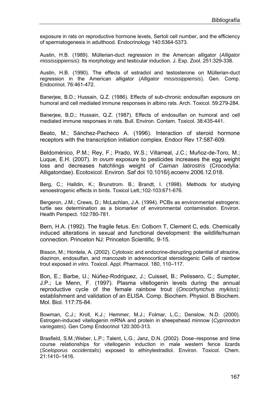exposure in rats on reproductive hormone levels, Sertoli cell number, and the efficiency of spermatogenesis in adulthood. Endocrinology 140:5364-5373.

Austin, H.B. (1989). Müllerian-duct regression in the American alligator (*Alligator mississippiensis*): Its morphology and testicular induction. J. Exp. Zool*.* 251:329-338.

Austin, H.B. (1990). The effects of estradiol and testosterone on Müllerian-duct regression in the American alligator (*Alligator mississippiensis*). Gen. Comp. Endocrinol*.* 76:461-472.

Banerjee, B.D.; Hussain, Q.Z. (1986). Effects of sub-chronic endosulfan exposure on humoral and cell mediated immune responses in albino rats. Arch. Toxicol. 59:279-284.

Banerjee, B.D.; Hussain, Q.Z. (1987). Effects of endosulfan on humoral and cell mediated immune responses in rats. Bull. Environ. Contam. Toxicol. 38:435-441.

Beato, M.; Sánchez-Pacheco A. (1996). Interaction of steroid hormone receptors with the transcription initiation complex. Endocr Rev 17:587-609.

Beldoménico, P.M.; Rey, F.; Prado, W.S.; Villarreal, J.C.; Muñoz-de-Toro, M.; Luque, E.H. (2007). *In ovum* exposure to pesticides increases the egg weight loss and decreases hatchlings weight of *Caiman latirostris* (Crocodylia: Alligatoridae). Ecotoxicol. Environ. Saf doi 10.1016/j.ecoenv.2006.12.018.

Berg, C.; Halldin, K.; Brunstrom. B.; Brandt, I. (1998). Methods for studying xenoestrogenic effects in birds. Toxicol Lett.;102-103:671-676.

Bergeron, J.M.; Crews, D.; McLachlan, J.A. (1994). PCBs as environmental estrogens: turtle sex determination as a biomarker of environmental contamination. Environ. Health Perspect. 102:780-781.

Bern, H.A. (1992). The fragile fetus. En: Colborn T, Clement C, eds. Chemically induced alterations in sexual and functional development: the wildlife/human connection. Princeton NJ: Princeton Scientific. 9-15.

Bisson, M.; Hontela, A. (2002). Cytotoxic and endocrine-disrupting potential of atrazine, diazinon, endosulfan, and mancozeb in adrenocortical steroidogenic Cells of rainbow trout exposed *in vitro*. Toxicol. Appl. Pharmacol. 180, 110–117.

Bon, E.; Barbe, U.; Núñez-Rodriguez, J.; Cuisset, B.; Pelissero, C.; Sumpter, J.P.; Le Menn, F. (1997). Plasma vitellogenin levels during the annual reproductive cycle of the female rainbow trout (*Oncorhynchus mykiss*): establishment and validation of an ELISA. Comp. Biochem. Physiol. B Biochem. Mol. Biol. 117:75-84.

Bowman, C.J.; Kroll, K.J.; Hemmer, M.J.; Folmar, L.C.; Denslow, N.D. (2000). Estrogen-induced vitellogenin mRNA and protein in sheepshead minnow (*Cyprinodon variegates*). Gen Comp Endocrinol 120:300-313.

Brasfield, S.M.;Weber, L.P.; Talent, L.G.; Janz, D.N. (2002). Dose–response and time course relationships for vitellogenin induction in male western fence lizards (*Sceloporus occidentalis*) exposed to ethinylestradiol. Environ. Toxicol. Chem. 21:1410–1416.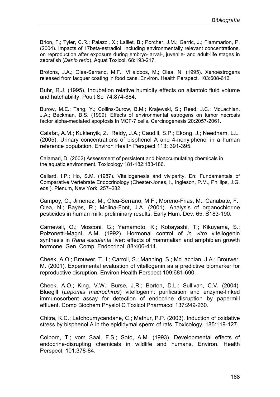Brion, F.; Tyler, C.R.; Palazzi, X.; Laillet, B.; Porcher, J.M.; Garric, J.; Flammarion, P. (2004). Impacts of 17beta-estradiol, including environmentally relevant concentrations, on reproduction after exposure during embryo-larval-, juvenile- and adult-life stages in zebrafish (*Danio rerio*). Aquat Toxicol. 68:193-217.

Brotons, J.A.; Olea-Serrano, M.F.; Villalobos, M.; Olea, N. (1995). Xenoestrogens released from lacquer coating in food cans. Environ. Health Perspect. 103:608-612.

Buhr, R.J. (1995). Incubation relative humidity effects on allantoic fluid volume and hatchability. Poult Sci 74:874-884.

Burow, M.E.; Tang, Y.; Collins-Burow, B.M.; Krajewski, S.; Reed, J.C.; McLachlan, J,A.; Beckman, B.S. (1999). Effects of environmental estrogens on tumor necrosis factor alpha-mediated apoptosis in MCF-7 cells. Carcinogenesis 20:2057-2061.

Calafat, A.M.; Kuklenyik, Z.; Reidy, J.A.; Caudill, S.P.; Ekong, J.; Needham, L.L. (2005). Urinary concentrations of bisphenol A and 4-nonylphenol in a human reference population. Environ Health Perspect 113: 391-395.

Calamari, D. (2002) Assessment of persistent and bioaccumulating chemicals in the aquatic environment. Toxicology 181-182:183-186.

Callard, I.P.; Ho, S.M. (1987). Vitellogenesis and viviparity. En: Fundamentals of Comparative Vertebrate Endocrinology (Chester-Jones, I., Ingleson, P.M., Phillips, J.G. eds.). Plenum, New York, 257–282.

Campoy, C.; Jimenez, M.; Olea-Serrano, M.F.; Moreno-Frias, M.; Canabate, F.; Olea, N.; Bayes, R.; Molina-Font, J.A. (2001). Analysis of organochlorine pesticides in human milk: preliminary results. Early Hum. Dev. 65: S183-190.

Carnevali, O.; Mosconi, G.; Yamamoto, K.; Kobayashi, T.; Kikuyama, S.; Polzonetti-Magni, A.M. (1992). Hormonal control of *in vitro* vitellogenin synthesis in *Rana esculenta* liver: effects of mammalian and amphibian growth hormone. Gen. Comp. Endocrinol. 88:406-414.

Cheek, A.O.; Brouwer, T.H.; Carroll, S.; Manning, S.; McLachlan, J.A.; Brouwer, M. (2001). Experimental evaluation of vitellogenin as a predictive biomarker for reproductive disruption. Environ Health Perspect 109:681-690.

Cheek, A.O.; King, V.W.; Burse, J.R.; Borton, D.L.; Sullivan, C.V. (2004). Bluegill (*Lepomis macrochirus*) vitellogenin: purification and enzyme-linked immunosorbent assay for detection of endocrine disruption by papermill effluent. Comp Biochem Physiol C Toxicol Pharmacol 137:249-260.

Chitra, K.C.; Latchoumycandane, C.; Mathur, P.P. (2003). Induction of oxidative stress by bisphenol A in the epididymal sperm of rats. Toxicology. 185:119-127.

Colborn, T.; vom Saal, F.S.; Soto, A.M. (1993). Developmental effects of endocrine-disrupting chemicals in wildlife and humans. Environ. Health Perspect. 101:378-84.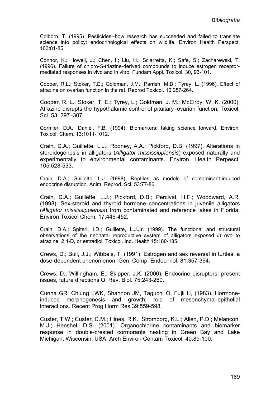Colborn, T. (1995). Pesticides--how research has succeeded and failed to translate science into policy: endocrinological effects on wildlife. Environ Health Perspect. 103:81-85.

Connor, K.; Howell, J.; Chen, I.; Liu, H.; Sciarretta, K.; Safe, S.; Zacharewski, T. (1996). Failure of chloro-*S*-triazine-derived compounds to induce estrogen receptormediated responses in vivo and in vitro. Fundam Appl. Toxicol. 30, 93-101.

Cooper, R.L.; Stoker, T.E.; Goldman, J.M.; Parrish, M.B.; Tyrey, L. (1996). Effect of atrazine on ovarian function in the rat. Reprod Toxicol. 10:257-264.

Cooper, R. L.; Stoker, T. E.; Tyrey, L.; Goldman, J. M.; McElroy, W. K. (2000). Atrazine disrupts the hypothalamic control of pituitary–ovarian function. Toxicol. Sci. 53, 297–307.

Cormier, D.A.; Daniel, F.B. (1994). Biomarkers: taking science forward. Environ. Toxicol. Chem. 13:1011-1012.

Crain, D.A.; Guillette, L.J.; Rooney, A.A.; Pickford, D.B. (1997). Alterations in steroidogenesis in alligators (*Alligator mississippiensis*) exposed naturally and experimentally to environmental contaminants. Environ. Health Perpesct. 105:528-533.

Crain, D.A.; Guillette, L.J. (1998). Reptiles as models of contaminant-induced endocrine disruption. Anim. Reprod. Sci. 53:77-86.

Crain, D.A.; Guillette, L.J.; Pickford, D.B.; Percival, H.F.; Woodward, A.R. (1998). Sex-steroid and thyroid hormone concentrations in juvenile alligators (*Alligator mississippiensis*) from contaminated and reference lakes in Florida. Environ Toxicol Chem. 17:446-452.

Crain, D.A.; Spiteri, I.D.; Guillette, L.J.Jr. (1999). The functional and structural observations of the neonatal reproductive system of alligators exposed *in ovo* to atrazine, 2,4-D, or estradiol. Toxicol. Ind. Health 15:180-185.

Crews, D.; Bull, J.J.; Wibbels, T. (1991). Estrogen and sex reversal in turtles: a dose-dependent phenomenon. Gen. Comp. Endocrinol. 81:357-364.

Crews, D.; Willingham, E.; Skipper, J.K. (2000). Endocrine disruptors: present issues, future directions.Q. Rev. Biol. 75:243-260.

Cunha GR, Chlung LWK, Shannon JM, Taguchi O, Fujii H, (1983). Hormoneinduced morphogenesis and growth: role of mesenchymal-epithelial interactions. Recent Prog Horm Res 39:559-598.

Custer, T.W.; Custer, C.M.; Hines, R.K.; Stromborg, K.L.; Allen, P.D.; Melancon, M.J.; Henshel, D.S. (2001). Organochlorine contaminants and biomarker response in double-crested cormorants nesting in Green Bay and Lake Michigan, Wisconsin, USA. Arch Environ Contam Toxicol. 40:89-100.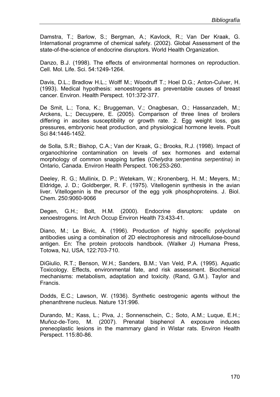Damstra, T.; Barlow, S.; Bergman, A.; Kavlock, R.; Van Der Kraak, G. International programme of chemical safety. (2002). Global Assessment of the state-of-the-science of endocrine disruptors. World Health Organization.

Danzo, B.J. (1998). The effects of environmental hormones on reproduction. Cell. Mol. Life. Sci. 54:1249-1264.

Davis, D.L.; Bradlow H.L.; Wolff M.; Woodruff T.; Hoel D.G.; Anton-Culver, H. (1993). Medical hypothesis: xenoestrogens as preventable causes of breast cancer. Environ. Health Perspect. 101:372-377.

De Smit, L.; Tona, K.; Bruggeman, V.; Onagbesan, O.; Hassanzadeh, M.; Arckens, L.; Decuypere, E. (2005). Comparison of three lines of broilers differing in ascites susceptibility or growth rate. 2. Egg weight loss, gas pressures, embryonic heat production, and physiological hormone levels. Poult Sci 84:1446-1452.

de Solla, S.R.; Bishop, C.A.; Van der Kraak, G.; Brooks, R.J. (1998). Impact of organochlorine contamination on levels of sex hormones and external morphology of common snapping turtles (*Chelydra serpentina serpentina*) in Ontario, Canada. Environ Health Perspect. 106:253-260.

Deeley, R. G.; Mullinix, D. P.; Wetekam, W.; Kronenberg, H. M.; Meyers, M.; Eldridge, J. D.; Goldberger, R. F. (1975). Vitellogenin synthesis in the avian liver. Vitellogenin is the precursor of the egg yolk phosphoproteins. J. Biol. Chem. 250:9060-9066

Degen, G.H.; Bolt, H.M. (2000). Endocrine disruptors: update on xenoestrogens. Int Arch Occup Environ Health 73:433-41.

Diano, M.; Le Bivic, A. (1996). Production of highly specific polyclonal antibodies using a combination of 2D electrophoresis and nitrocellulose-bound antigen. En: The protein protocols handbook. (Walker J) Humana Press, Totowa, NJ, USA, 122:703-710.

DiGiulio, R.T.; Benson, W.H.; Sanders, B.M.; Van Veld, P.A. (1995). Aquatic Toxicology. Effects, environmental fate, and risk assessment. Biochemical mechanisms: metabolism, adaptation and toxicity. (Rand, G.M.). Taylor and Francis.

Dodds, E.C.; Lawson, W. (1936). Synthetic oestrogenic agents without the phenanthrene nucleus. Nature 131:996.

Durando, M.; Kass, L.; Piva, J.; Sonnenschein, C.; Soto, A.M.; Luque, E.H.; Muñoz-de-Toro, M. (2007). Prenatal bisphenol A exposure induces preneoplastic lesions in the mammary gland in Wistar rats. Environ Health Perspect. 115:80-86.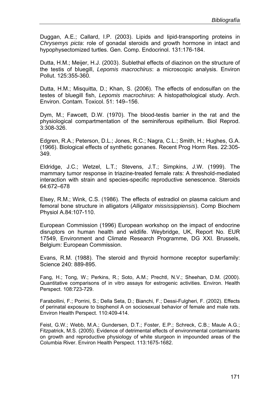Duggan, A.E.; Callard, I.P. (2003). Lipids and lipid-transporting proteins in *Chrysemys picta*: role of gonadal steroids and growth hormone in intact and hypophysectomized turtles. Gen. Comp. Endocrinol. 131:176-184.

Dutta, H.M.; Meijer, H.J. (2003). Sublethal effects of diazinon on the structure of the testis of bluegill, *Lepomis macrochirus*: a microscopic analysis. Environ Pollut. 125:355-360.

Dutta, H.M.; Misquitta, D.; Khan, S. (2006). The effects of endosulfan on the testes of bluegill fish, *Lepomis macrochirus*: A histopathological study. Arch. Environ. Contam. Toxicol. 51: 149–156.

Dym, M.; Fawcett, D.W. (1970). The blood-testis barrier in the rat and the physiological compartmentation of the seminiferous epithelium. Biol Reprod. 3:308-326.

Edgren, R.A.; Peterson, D.L.; Jones, R.C.; Nagra, C.L.; Smith, H.; Hughes, G.A. (1966). Biological effects of synthetic gonanes. Recent Prog Horm Res. 22:305- 349.

Eldridge, J.C.; Wetzel, L.T.; Stevens, J.T.; Simpkins, J.W. (1999). The mammary tumor response in triazine-treated female rats: A threshold-mediated interaction with strain and species-specific reproductive senescence. Steroids 64:672–678

Elsey, R.M.; Wink, C.S. (1986). The effects of estradiol on plasma calcium and femoral bone structure in alligators (*Alligator mississippiensis*). Comp Biochem Physiol A.84:107-110.

European Commission (1996) European workshop on the impact of endocrine disruptors on human health and wildlife. Weybridge, UK, Report No. EUR 17549, Environment and Climate Research Programme, DG XXI. Brussels, Belgium: European Commission.

Evans, R.M. (1988). The steroid and thyroid hormone receptor superfamily: Science 240: 889-895.

Fang, H.; Tong, W.; Perkins, R.; Soto, A.M.; Prechtl, N.V.; Sheehan, D.M. (2000). Quantitative comparisons of in vitro assays for estrogenic activities. Environ. Health Perspect. 108:723-729.

Farabollini, F.; Porrini, S.; Della Seta, D.; Bianchi, F.; Dessi-Fulgheri, F. (2002). Effects of perinatal exposure to bisphenol A on sociosexual behavior of female and male rats. Environ Health Perspect. 110:409-414.

Feist, G.W.; Webb, M.A.; Gundersen, D.T.; Foster, E.P.; Schreck, C.B.; Maule A.G.; Fitzpatrick, M.S. (2005). Evidence of detrimental effects of environmental contaminants on growth and reproductive physiology of white sturgeon in impounded areas of the Columbia River. Environ Health Perspect. 113:1675-1682.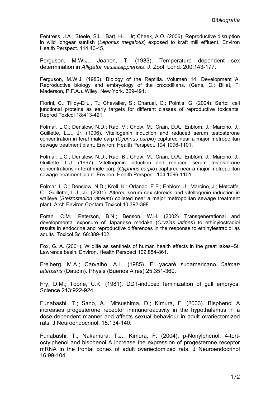Fentress, J.A.; Steele, S.L.; Bart, H.L. Jr; Cheek, A.O. (2006). Reproductive disruption in wild longear sunfish (*Lepomis megalotis*) exposed to kraft mill effluent. Environ Health Perspect. 114:40-45.

Ferguson, M.W.J.; Joanen, T. (1983). Temperature dependent sex determination in *Alligator mississippiensis*. J. Zool. Lond. 200:143-177.

Ferguson, M.W.J. (1985). Biology of the Reptilia. Volumen 14: Development A. Reproductive biology and embryology of the crocodilians. (Gans, C.; Billet, F; Maderson, P.F.A.). Wiley, New York. 329-491.

Fiorini, C.; Tilloy-Ellul, T.; Chevalier, S.; Charuel, C.; Pointis, G. (2004). Sertoli cell junctional proteins as early targets for different classes of reproductive toxicants. Reprod Toxicol 18:413-421.

Folmar, L.C.; Denslow, N.D.; Rao, V.; Chow, M.; Crain, D.A.; Enblom, J.; Marcino, J.; Guillette, L.J., Jr. (1996). Vitellogenin induction and reduced serum testosterone concentration in feral male carp (*Cyprinus carpio*) captured near a major metropolitan sewage treatment plant. Environ. Health Perspect. 104:1096-1101.

Folmar, L.C.; Denslow, N.D.; Rao, B.; Chow, M.; Crain, D.A.; Enblom, J.; Marcino, J.; Guillette, L.J. (1997). Vitellogenin induction and reduced serum testosterone concentrations in feral male carp (*Cyprinus carpio*) captured near a major metropolitan sewage treatment plant. Environ. Health Perspect. 104:1096-1101.

Folmar, L.C.; Denslow, N.D.; Kroll, K.; Orlando, E.F.; Enblom, J.; Marcino, J.; Metcalfe, C.; Guillette, L.J., Jr. (2001). Altered serum sex steroids and vitellogenin induction in walleye (*Steizostedion vitreum*) colleted near a major metropolitan sewage treatment plant. Arch Environ Contam Toxicol 40:392-398.

Foran, C.M.; Peterson, B.N.; Benson, W.H. (2002) Transgenerational and developmental exposure of Japanese medaka (*Oryzias latipes*) to ethinylestradiol results in endocrine and reproductive differences in the response to ethinylestradiol as adults. Toxicol Sci 68:389-402.

Fox, G. A. (2001). Wildlife as sentinels of human health effects in the great lakes–St. Lawrence basin. Environ. Health Perspect 109:854-861.

Freiberg, M.A.; Carvalho, A.L. (1985). El yacaré sudamericano *Caiman latirostris* (Daudin). Physis (Buenos Aires) 25:351-360.

Fry, D.M.; Toone, C.K. (1981). DDT-induced feminization of gull embryos. Science 213:922-924.

Funabashi, T.; Sano, A.; Mitsushima, D.; Kimura, F. (2003). Bisphenol A increases progesterone receptor immunoreactivity in the hypothalamus in a dose-dependent manner and affects sexual behaviour in adult ovariectomized rats. J Neuroendocrinol. 15:134-140.

Funabashi, T.; Nakamura, T.J.; Kimura, F. (2004). p-Nonylphenol, 4-tertoctylphenol and bisphenol A increase the expression of progesterone receptor mRNA in the frontal cortex of adult ovariectomized rats. J Neuroendocrinol 16:99-104.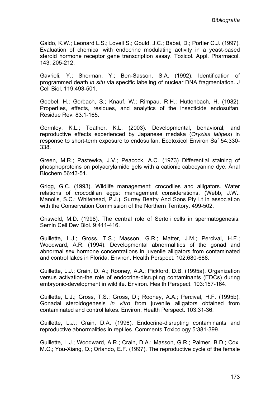Gaido, K.W.; Leonard L.S.; Lovell S.; Gould, J.C.; Babai, D.; Portier C.J. (1997). Evaluation of chemical with endocrine modulating activity in a yeast-based steroid hormone receptor gene transcription assay. Toxicol. Appl. Pharmacol. 143: 205-212.

Gavrieli, Y.; Sherman, Y.; Ben-Sasson. S.A. (1992). Identification of programmed death *in situ* via specific labeling of nuclear DNA fragmentation. J Cell Biol. 119:493-501.

Goebel, H.; Gorbach, S.; Knauf, W.; Rimpau, R.H.; Huttenbach, H. (1982). Properties, effects, residues, and analytics of the insecticide endosulfan. Residue Rev. 83:1-165.

Gormley, K.L.; Teather, K.L. (2003). Developmental, behavioral, and reproductive effects experienced by Japanese medaka (*Oryzias latipes*) in response to short-term exposure to endosulfan. Ecotoxicol Environ Saf 54:330- 338.

Green, M.R.; Pastewka, J.V.; Peacock, A.C. (1973) Differential staining of phosphoproteins on polyacrylamide gels with a cationic cabocyanine dye. Anal Biochem 56:43-51.

Grigg, G.C. (1993). Wildlife management: crocodiles and alligators. Water relations of crocodilian eggs: management considerations. (Webb, J.W.; Manolis, S.C.; Whitehead, P.J.). Surrey Beatty And Sons Pty Lt in association with the Conservation Commission of the Northern Territory. 499-502.

Griswold, M.D. (1998). The central role of Sertoli cells in spermatogenesis. Semin Cell Dev Biol. 9:411-416.

Guillette, L.J.; Gross, T.S.; Masson, G.R.; Matter, J.M.; Percival, H.F.; Woodward, A.R. (1994). Developmental abnormalities of the gonad and abnormal sex hormone concentrations in juvenile alligators from contaminated and control lakes in Florida. Environ. Health Perspect. 102:680-688.

Guillette, L.J.; Crain, D. A.; Rooney, A.A.; Pickford, D.B. (1995a). Organization versus activation-the role of endocrine-disrupting contaminants (EDCs) during embryonic-development in wildlife. Environ. Health Perspect. 103:157-164.

Guillette, L.J.; Gross, T.S.; Gross, D.; Rooney, A.A.; Percival, H.F. (1995b). Gonadal steroidogenesis *in vitro* from juvenile alligators obtained from contaminated and control lakes. Environ. Health Perspect. 103:31-36.

Guillette, L.J.; Crain, D.A. (1996). Endocrine-disrupting contaminants and reproductive abnormalities in reptiles. Comments Toxicology 5:381-399.

Guillette, L.J.; Woodward, A.R.; Crain, D.A.; Masson, G.R.; Palmer, B.D.; Cox, M.C.; You-Xiang, Q.; Orlando, E.F. (1997). The reproductive cycle of the female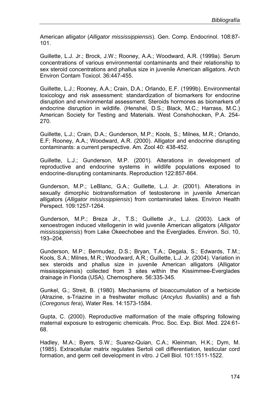American alligator (*Alligator mississippiensis*). Gen. Comp. Endocrinol. 108:87- 101.

Guillette, L.J. Jr.; Brock, J.W.; Rooney, A.A.; Woodward, A.R. (1999a). Serum concentrations of various environmental contaminants and their relationship to sex steroid concentrations and phallus size in juvenile American alligators. Arch Environ Contam Toxicol. 36:447-455.

Guillette, L.J.; Rooney, A.A.; Crain, D.A.; Orlando, E.F. (1999b). Environmental toxicology and risk assessment: standardization of biomarkers for endocrine disruption and environmental assessment. Steroids hormones as biomarkers of endocrine disruption in wildlife. (Henshel, D.S.; Black, M.C.; Harrass, M.C.) American Society for Testing and Materials. West Conshohocken, P.A. 254- 270.

Guillette, L.J.; Crain, D.A.; Gunderson, M.P.; Kools, S.; Milnes, M.R.; Orlando, E.F; Rooney, A.A.; Woodward, A.R. (2000). Alligator and endocrine disrupting contaminants: a current perspective. Am. Zool 40: 438-452.

Guillette, L.J.; Gunderson, M.P. (2001). Alterations in development of reproductive and endocrine systems in wildlife populations exposed to endocrine-disrupting contaminants. Reproduction 122:857-864.

Gunderson, M.P.; LeBlanc, G.A.; Guillette, L.J. Jr. (2001). Alterations in sexually dimorphic biotransformation of testosterone in juvenile American alligators (*Alligator mississippiensis*) from contaminated lakes. Environ Health Perspect. 109:1257-1264.

Gunderson, M.P.; Breza Jr., T.S.; Guillette Jr., L.J. (2003). Lack of xenoestrogen induced vitellogenin in wild juvenile American alligators (*Alligator mississippiensis*) from Lake Okeechobee and the Everglades. Environ. Sci. 10, 193–204.

Gunderson, M.P.; Bermudez, D.S.; Bryan, T.A.; Degala, S.; Edwards, T.M.; Kools, S.A.; Milnes, M.R.; Woodward, A.R.; Guillette, L.J. Jr. (2004). Variation in sex steroids and phallus size in juvenile American alligators (Alligator mississippiensis) collected from 3 sites within the Kissimmee-Everglades drainage in Florida (USA). Chemosphere. 56:335-345.

Gunkel, G.; Streit, B. (1980). Mechanisms of bioaccumulation of a herbicide (Atrazine, s-Triazine in a freshwater mollusc (*Ancylus fluviatilis*) and a fish (*Coregonus fera*), Water Res. 14:1573-1584.

Gupta, C. (2000). Reproductive malformation of the male offspring following maternal exposure to estrogenic chemicals. Proc. Soc. Exp. Biol. Med. 224:61- 68.

Hadley, M.A.; Byers, S.W.; Suarez-Quian, C.A.; Kleinman, H.K.; Dym, M. (1985). Extracellular matrix regulates Sertoli cell differentiation, testicular cord formation, and germ cell development in vitro. J Cell Biol. 101:1511-1522.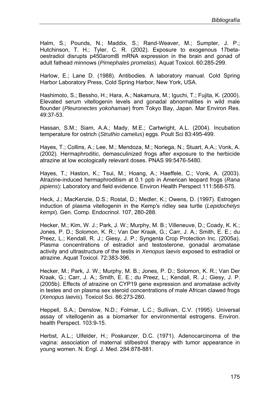Halm, S.; Pounds, N.; Maddix, S.; Rand-Weaver, M.; Sumpter, J. P.; Hutchinson, T. H.; Tyler, C. R. (2002). Exposure to exogenous 17betaoestradiol disrupts p450aromB mRNA expression in the brain and gonad of adult fathead minnows (*Pimephales promelas*). Aquat Toxicol. 60:285-299.

Harlow, E.; Lane D. (1988). Antibodies. A laboratory manual. Cold Spring Harbor Laboratory Press, Cold Spring Harbor, New York, USA.

Hashimoto, S.; Bessho, H.; Hara, A.; Nakamura, M.; Iguchi, T.; Fujita, K. (2000). Elevated serum vitellogenin levels and gonadal abnormalities in wild male flounder (*Pleuronectes yokohamae*) from Tokyo Bay, Japan. Mar Environ Res. 49:37-53.

Hassan, S.M.; Siam, A.A.; Mady, M.E.; Cartwright, A.L. (2004). Incubation temperature for ostrich (*Struthio camelus*) eggs. Poult Sci 83:495-499.

Hayes, T.; Collins, A.; Lee, M.; Mendoza, M.; Noriega, N.; Stuart, A.A.; Vonk, A. (2002). Hermaphroditic, demasculinized frogs after exposure to the herbicide atrazine at low ecologically relevant doses. PNAS 99:5476-5480.

Hayes, T.; Haston, K.; Tsui, M.; Hoang, A.; Haeffele, C.; Vonk, A. (2003). Atrazine-induced hermaphroditism at 0.1 ppb in American leopard frogs (*Rana pipiens*): Laboratory and field evidence. Environ Health Perspect 111:568-575.

Heck, J.; MacKenzie, D.S.; Rostal, D.; Medler, K.; Owens, D. (1997). Estrogen induction of plasma vitellogenin in the Kemp's ridley sea turtle (*Lepidochelys kempi*). Gen. Comp. Endocrinol. 107, 280-288.

Hecker, M.; Kim, W. J.; Park, J. W.; Murphy, M. B.; Villeneuve, D.; Coady, K. K.; Jones, P. D.; Solomon, K. R.; Van Der Kraak, G.; Carr, J. A.; Smith, E. E.; du Preez, L.; Kendall, R. J.; Giesy, J. P.; Syngenta Crop Protection Inc. (2005a). Plasma concentrations of estradiol and testosterone, gonadal aromatase activity and ultrastructure of the testis in *Xenopus laevis* exposed to estradiol or atrazine. Aquat Toxicol. 72:383-396.

Hecker, M.; Park, J. W.; Murphy, M. B.; Jones, P. D.; Solomon, K. R.; Van Der Kraak, G.; Carr, J. A.; Smith, E. E.; du Preez, L.; Kendall, R. J.; Giesy, J. P. (2005b). Effects of atrazine on CYP19 gene expression and aromatase activity in testes and on plasma sex steroid concentrations of male African clawed frogs (*Xenopus laevis*). Toxicol Sci. 86:273-280.

Heppell, S.A.; Denslow, N.D.; Folmar, L.C.; Sullivan, C.V. (1995). Universal assay of vitellogenin as a biomarker for environmental estrogens. Environ. health Perspect. 103:9-15.

Herbst, A.L.; Ulfelder, H.; Poskanzer, D.C. (1971). Adenocarcinoma of the vagina: association of maternal stilbestrol therapy with tumor appearance in young women. N. Engl. J. Med. 284:878-881.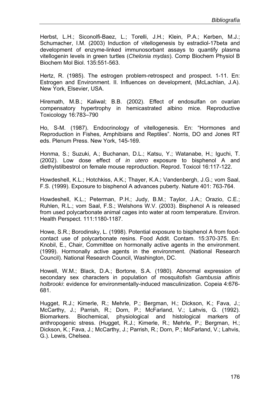Herbst, L.H.; Siconolfi-Baez, L.; Torelli, J.H.; Klein, P.A.; Kerben, M.J.; Schumacher, I.M. (2003) Induction of vitellogenesis by estradiol-17beta and development of enzyme-linked immunosorbant assays to quantify plasma vitellogenin levels in green turtles (*Chelonia mydas*). Comp Biochem Physiol B Biochem Mol Biol. 135:551-563.

Hertz, R. (1985). The estrogen problem-retrospect and prospect. 1-11. En: Estrogen and Environment. II. Influences on development, (McLachlan, J.A). New York, Elsevier, USA.

Hiremath, M.B.; Kaliwal; B.B. (2002). Effect of endosulfan on ovarian compensatory hypertrophy in hemicastrated albino mice. Reproductive Toxicology 16:783–790

Ho, S-M. (1987). Endocrinology of vitellogenesis. En: "Hormones and Reproduction in Fishes, Amphibians and Reptiles". Norris, DO and Jones RT eds. Plenum Press. New York, 145-169.

Honma, S.; Suzuki, A.; Buchanan, D.L.; Katsu, Y.; Watanabe, H.; Iguchi, T. (2002). Low dose effect of *in utero* exposure to bisphenol A and diethylstilbestrol on female mouse reproduction. Reprod. Toxicol 16:117-122.

Howdeshell, K.L.; Hotchkiss, A.K.; Thayer, K.A.; Vandenbergh, J.G.; vom Saal, F.S. (1999). Exposure to bisphenol A advances puberty. Nature 401: 763-764.

Howdeshell, K.L.; Peterman, P.H.; Judy, B.M.; Taylor, J.A.; Orazio, C.E.; Ruhlen, R.L.; vom Saal, F.S.; Welshons W.V. (2003). Bisphenol A is released from used polycarbonate animal cages into water at room temperature. Environ. Health Perspect. 111:1180-1187.

Howe, S.R.; Borodinsky, L. (1998). Potential exposure to bisphenol A from foodcontact use of polycarbonate resins. Food Addit. Contam. 15:370-375. En: Knobil, E., Chair, Committee on hormonally active agents in the environment. (1999). Hormonally active agents in the environment. (National Research Council). National Research Council, Washington, DC.

Howell, W.M.; Black, D.A.; Bortone, S.A. (1980). Abnormal expression of secondary sex characters in population of mosquitofish *Gambusia affinis holbrooki*: evidence for environmentally-induced masculinization. Copeia 4:676- 681.

Hugget, R.J.; Kimerle, R.; Mehrle, P.; Bergman, H.; Dickson, K.; Fava, J.; McCarthy, J.; Parrish, R.; Dorn, P.; McFarland, V.; Lahvis, G. (1992). Biomarkers. Biochemical, physiological and histological markers of anthropogenic stress. (Hugget, R.J.; Kimerle, R.; Mehrle, P.; Bergman, H.; Dickson, K.; Fava, J.; McCarthy, J.; Parrish, R.; Dorn, P.; McFarland, V.; Lahvis, G.). Lewis, Chelsea.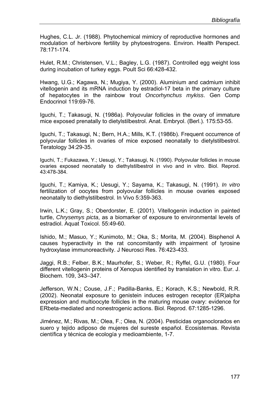Hughes, C.L. Jr. (1988). Phytochemical mimicry of reproductive hormones and modulation of herbivore fertility by phytoestrogens. Environ. Health Perspect. 78:171-174.

Hulet, R.M.; Christensen, V.L.; Bagley, L.G. (1987). Controlled egg weight loss during incubation of turkey eggs. Poult Sci 66:428-432.

Hwang, U.G.; Kagawa, N.; Mugiya, Y. (2000). Aluminium and cadmium inhibit vitellogenin and its mRNA induction by estradiol-17 beta in the primary culture of hepatocytes in the rainbow trout *Oncorhynchus mykiss*. Gen Comp Endocrinol 119:69-76.

Iguchi, T.; Takasugi, N. (1986a). Polyovular follicles in the ovary of immature mice exposed prenatally to dietylstilbestrol. Anat. Embryol. (Berl.). 175:53-55.

Iguchi, T.; Takasugi, N.; Bern, H.A.; Mills, K.T. (1986b). Frequent occurrence of polyovular follicles in ovaries of mice exposed neonatally to dietylstilbestrol. Teratology 34:29-35.

Iguchi, T.; Fukazawa, Y.; Uesugi, Y.; Takasugi, N. (1990). Polyovular follicles in mouse ovaries exposed neonatally to diethylstilbestrol in vivo and in vitro. Biol. Reprod. 43:478-384.

Iguchi, T.; Kamiya, K.; Uesugi, Y.; Sayama, K.; Takasugi, N. (1991). *In vitro*  fertilization of oocytes from polyovular follicles in mouse ovaries exposed neonatally to diethylstilbestrol. In Vivo 5:359-363.

Irwin, L.K.; Gray, S.; Oberdorster, E. (2001). Vitellogenin induction in painted turtle, *Chrysemys picta*, as a biomarker of exposure to environmental levels of estradiol. Aquat Toxicol. 55:49-60.

Ishido, M.; Masuo, Y.; Kunimoto, M.; Oka, S.; Morita, M. (2004). Bisphenol A causes hyperactivity in the rat concomitantly with impairment of tyrosine hydroxylase immunoreactivity. J Neurosci Res. 76:423-433.

Jaggi, R.B.; Felber, B.K.; Maurhofer, S.; Weber, R.; Ryffel, G.U. (1980). Four different vitellogenin proteins of Xenopus identified by translation in vitro. Eur. J. Biochem. 109, 343–347.

Jefferson, W.N.; Couse, J.F.; Padilla-Banks, E.; Korach, K.S.; Newbold, R.R. (2002). Neonatal exposure to genistein induces estrogen receptor (ER)alpha expression and multioocyte follicles in the maturing mouse ovary: evidence for ERbeta-mediated and nonestrogenic actions. Biol. Reprod. 67:1285-1296.

Jiménez, M.; Rivas, M.; Olea, F.; Olea, N. (2004). Pesticidas organoclorados en suero y tejido adiposo de mujeres del sureste español. Ecosistemas. Revista científica y técnica de ecología y medioambiente, 1-7.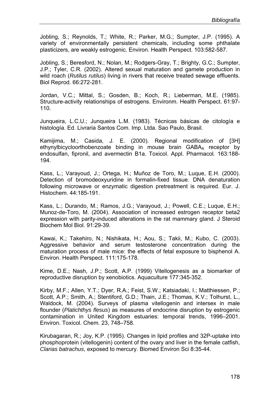Jobling, S.; Reynolds, T.; White, R.; Parker, M.G.; Sumpter, J.P. (1995). A variety of environmentally persistent chemicals, including some phthalate plasticizers, are weakly estrogenic. Environ. Health Perspect. 103:582-587.

Jobling, S.; Beresford, N.; Nolan, M.; Rodgers-Gray, T.; Brighty, G.C.; Sumpter, J.P.; Tyler, C.R. (2002). Altered sexual maturation and gamete production in wild roach (*Rutilus rutilus*) living in rivers that receive treated sewage effluents. Biol Reprod. 66:272-281.

Jordan, V.C.; Mittal, S.; Gosden, B.; Koch, R.; Lieberman, M.E. (1985). Structure-activity relationships of estrogens. Environm. Health Perspect. 61:97- 110.

Junqueira, L.C.U.; Junqueira L.M. (1983). Técnicas básicas de citología e histología. Ed. Livraria Santos Com. Imp. Ltda. Sao Paulo, Brasil.

Kamijima, M.; Casida, J. E. (2000). Regional modification of [3H] ethynylbicycloorthobenzoate binding in mouse brain GABA<sub>A</sub> receptor by endosulfan, fipronil, and avermectin B1a. Toxicol. Appl. Pharmacol*.* 163:188- 194.

Kass, L.; Varayoud, J.; Ortega, H.; Muñoz de Toro, M.; Luque, E.H. (2000). Detection of bromodeoxyuridine in formalin-fixed tissue. DNA denaturation following microwave or enzymatic digestion pretreatment is required. Eur. J. Histochem. 44:185-191.

Kass, L.; Durando, M.; Ramos, J.G.; Varayoud, J.; Powell, C.E.; Luque, E.H.; Munoz-de-Toro, M. (2004). Association of increased estrogen receptor beta2 expression with parity-induced alterations in the rat mammary gland. J Steroid Biochem Mol Biol. 91:29-39.

Kawai, K.; Takehiro, N.; Nishikata, H.; Aou, S.; Takii, M.; Kubo, C. (2003). Aggressive behavior and serum testosterone concentration during the maturation process of male mice: the effects of fetal exposure to bisphenol A. Environ. Health Perspect. 111:175-178.

Kime, D.E.; Nash, J.P.; Scott, A.P. (1999) Vitellogenesis as a biomarker of reproductive disruption by xenobiotics. Aquaculture 177:345-352.

Kirby, M.F.; Allen, Y.T.; Dyer, R.A.; Feist, S.W.; Katsiadaki, I.; Matthiessen, P.; Scott, A.P.; Smith, A.; Stentiford, G.D.; Thain, J.E.; Thomas, K.V.; Tolhurst, L., Waldock, M. (2004). Surveys of plasma vitellogenin and intersex in male flounder (*Platichthys flesus*) as measures of endocrine disruption by estrogenic contamination in United Kingdom estuaries: temporal trends, 1996–2001. Environ. Toxicol. Chem. 23, 748–758.

Kirubagaran, R.; Joy, K.P. (1995). Changes in lipid profiles and 32P-uptake into phosphoprotein (vitellogenin) content of the ovary and liver in the female catfish, *Clarias batrachus*, exposed to mercury. Biomed Environ Sci 8:35-44.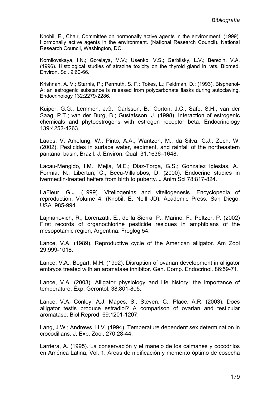Knobil, E., Chair, Committee on hormonally active agents in the environment. (1999). Hormonally active agents in the environment. (National Research Council). National Research Council, Washington, DC.

Kornilovskaya, I.N.; Gorelaya, M.V.; Usenko, V.S.; Gerbilsky, L.V.; Berezin, V.A. (1996). Histological studies of atrazine toxicity on the thyroid gland in rats. Biomed. Environ. Sci. 9:60-66.

Krishnan, A. V.; Starhis, P.; Permuth, S. F.; Tokes, L.; Feldman, D.; (1993). Bisphenol-A: an estrogenic substance is released from polycarbonate flasks during autoclaving. Endocrinology 132:2279-2286.

Kuiper, G.G.; Lemmen, J.G.; Carlsson, B.; Corton, J.C.; Safe, S.H.; van der Saag, P.T.; van der Burg, B.; Gustafsson, J. (1998). Interaction of estrogenic chemicals and phytoestrogens with estrogen receptor beta. Endocrinology 139:4252-4263.

Laabs, V; Amelung, W.; Pinto, A.A.; Wantzen, M.; da Silva, C.J.; Zech, W. (2002). Pesticides in surface water, sediment, and rainfall of the northeastern pantanal basin, Brazil. J. Environ. Qual. 31:1636–1648.

Lacau-Mengido, I.M.; Mejia, M.E.; Diaz-Torga, G.S.; Gonzalez Iglesias, A.; Formia, N.; Libertun, C.; Becu-Villalobos; D. (2000). Endocrine studies in ivermectin-treated heifers from birth to puberty. J Anim Sci 78:817-824.

LaFleur, G.J. (1999). Vitellogenins and vitellogenesis. Encyclopedia of reproduction. Volume 4. (Knobil, E. Neill JD). Academic Press. San Diego. USA. 985-994.

Lajmanovich, R.; Lorenzatti, E.; de la Sierra, P.; Marino, F.; Peltzer, P. (2002) First records of organochlorine pesticide residues in amphibians of the mesopotamic region, Argentina. Froglog 54.

Lance, V.A. (1989). Reproductive cycle of the American alligator. Am Zool 29:999-1018.

Lance, V.A.; Bogart, M.H. (1992). Disruption of ovarian development in alligator embryos treated with an aromatase inhibitor. Gen. Comp. Endocrinol. 86:59-71.

Lance, V.A. (2003). Alligator physiology and life history: the importance of temperature. Exp. Gerontol. 38:801-805.

Lance, V.A; Conley, A.J; Mapes, S.; Steven, C.; Place, A.R. (2003). Does alligator testis produce estradiol? A comparison of ovarian and testicular aromatase. Biol Reprod. 69:1201-1207.

Lang, J.W.; Andrews, H.V. (1994). Temperature dependent sex determination in crocodilians. J. Exp. Zool. 270:28-44.

Larriera, A. (1995). La conservación y el manejo de los caimanes y cocodrilos en América Latina, Vol. 1. Áreas de nidificación y momento óptimo de cosecha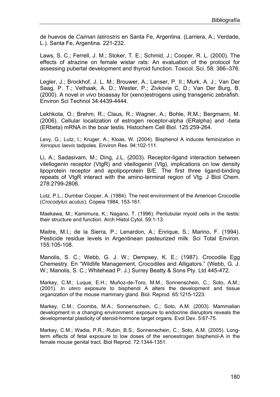de huevos de *Caiman latirostris* en Santa Fe, Argentina. (Larriera, A.; Verdade, L.). Santa Fe, Argentina. 221-232.

Laws, S. C.; Ferrell, J. M.; Stoker, T. E.; Schmid, J.; Cooper, R. L. (2000). The effects of atrazine on female wistar rats: An evaluation of the protocol for assessing pubertal development and thyroid function. Toxicol. Sci. 58: 366–376.

Legler, J.; Brockhof, J. L. M.; Brouwer, A.; Lanser, P. II.; Murk, A. J.; Van Der Saag, P. T.; Vethaak, A. D.; Wester, P.; Zivkovie C, D.; Van Der Burg, B. (2000). A novel *in vivo* bioassay for (xeno)estrogens using transgenic zebrafish. Environ Sci Technol 34:4439-4444.

Lekhkota, O.; Brehm, R.; Claus, R.; Wagner, A.; Bohle, R.M.; Bergmann, M. (2006). Cellular localization of estrogen receptor-alpha (ERalpha) and -beta (ERbeta) mRNA in the boar testis. Histochem Cell Biol. 125:259-264.

Levy, G.; Lutz, I.; Kruger, A.; Kloas, W. (2004). Bisphenol A induces feminization in *Xenopus laevis* tadpoles. Environ Res. 94:102-111.

Li, A.; Sadasivam, M.; Ding, J.L. (2003). Receptor-ligand interaction between vitellogenin receptor (VtgR) and vitellogenin (Vtg), implications on low density lipoprotein receptor and apolipoprotein B/E. The first three ligand-binding repeats of VtgR interact with the amino-terminal region of Vtg. J Biol Chem. 278:2799-2806.

Lutz, P.L.; Dumbar Cooper, A. (1984). The nest environment of the American Crocodile (*Crocodylus acutus*). Copeia 1984, 153-161.

Maekawa, M.; Kamimura, K.; Nagano, T. (1996). Peritubular myoid cells in the testis: their structure and function. Arch Histol Cytol. 59:1-13.

Maitre, M.I.; de la Sierra, P.; Lenardon, A.; Enrique, S.; Marino, F. (1994). Pesticide residue levels in Argentinean pasteurized milk. Sci Total Environ. 155:105-108.

Manolis, S. C.; Webb, G. J. W.; Dempsey, K. E.; (1987). Crocodile Egg Chemestry. En "Wildlife Management, Crocodiles and Alligators." (Webb, G. J. W.; Manolis, S. C.; Whitehead P. J.) Surrey Beatty & Sons Pty. Ltd 445-472.

Markey, C.M.; Luque, E.H.; Muñoz-de-Toro, M.M.; Sonnenschein, C.; Soto, A.M.; (2001). *In utero* exposure to bisphenol A alters the development and tissue organization of the mouse mammary gland. Biol. Reprod. 65:1215-1223.

Markey, C.M.; Coombs, M.A.; Sonnenschein, C.; Soto, A.M. (2003). Mammalian development in a changing environment: exposure to endocrine disruptors reveals the developmental plasticity of steroid-hormone target organs. Evol Dev. 5:67-75.

Markey, C.M.; Wadia, P.R.; Rubin, B.S.; Sonnenschein, C.; Soto, A.M. (2005). Longterm effects of fetal exposure to low doses of the xenoestrogen bisphenol-A in the female mouse genital tract. Biol Reprod. 72:1344-1351.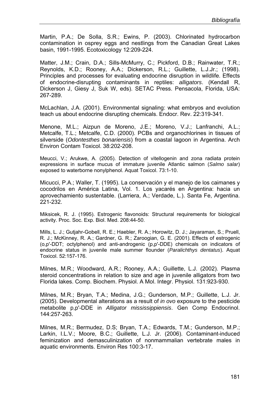Martin, P.A.; De Solla, S.R.; Ewins, P. (2003). Chlorinated hydrocarbon contamination in osprey eggs and nestlings from the Canadian Great Lakes basin, 1991-1995. Ecotoxicology 12:209-224.

Matter, J.M.; Crain, D.A.; Sills-McMurry, C.; Pickford, D.B.; Rainwater, T.R.; Reynolds, K.D.; Rooney, A.A.; Dickerson, R.L.; Guillette, L.J.Jr.; (1998). Principles and processes for evaluating endocrine disruption in wildlife. Effects of endocrine-disrupting contaminants in reptiles: *alligators*. (Kendall R, Dickerson J, Giesy J, Suk W, eds). SETAC Press. Pensacola, Florida, USA: 267-289.

McLachlan, J.A. (2001). Environmental signaling: what embryos and evolution teach us about endocrine disrupting chemicals. Endocr. Rev. 22:319-341.

Menone, M.L.; Aizpun de Moreno, J.E.; Moreno, V.J.; Lanfranchi, A.L.; Metcalfe, T.L.; Metcalfe, C.D. (2000). PCBs and organochlorines in tissues of silverside (*Odontesthes bonariensis*) from a coastal lagoon in Argentina. Arch Environ Contam Toxicol. 38:202-208.

Meucci, V.; Arukwe, A. (2005). Detection of vitellogenin and zona radiata protein expressions in surface mucus of immature juvenile Atlantic salmon (*Salmo salar*) exposed to waterborne nonylphenol. Aquat Toxicol. 73:1-10.

Micucci, P.A.; Waller, T. (1995). La conservación y el manejo de los caimanes y cocodrilos en América Latina, Vol. 1. Los yacarés en Argentina: hacia un aprovechamiento sustentable. (Larriera, A.; Verdade, L.). Santa Fe, Argentina. 221-232.

Miksicek, R. J. (1995). Estrogenic flavonoids: Structural requirements for biological activity. Proc. Soc. Exp. Biol. Med. 208:44-50.

Mills, L. J.; Gutjahr-Gobell, R. E.; Haebler, R. A.; Horowitz, D. J.; Jayaraman, S.; Pruell, R. J.; McKinney, R. A.; Gardner, G. R.; Zaroogian, G. E. (2001). Effects of estrogenic (o,p'-DDT; octylphenol) and anti-androgenic (p,p'-DDE) chemicals on indicators of endocrine status in juvenile male summer flounder (*Paralichthys dentatus*). Aquat Toxicol. 52:157-176.

Milnes, M.R.; Woodward, A.R.; Rooney, A.A.; Guillette, L.J. (2002). Plasma steroid concentrations in relation to size and age in juvenile alligators from two Florida lakes. Comp. Biochem. Physiol. A Mol. Integr. Physiol. 131:923-930.

Milnes, M.R.; Bryan, T.A.; Medina, J.G.; Gunderson, M.P.; Guillette, L.J. Jr. (2005). Developmental alterations as a result of *in ovo* exposure to the pesticide metabolite p,p'-DDE in *Alligator mississippiensis*. Gen Comp Endocrinol. 144:257-263.

Milnes, M.R.; Bermudez, D.S; Bryan, T.A.; Edwards, T.M.; Gunderson, M.P.; Larkin, I.L.V.; Moore, B.C.; Guillette, L.J. Jr. (2006). Contaminant-induced feminization and demasculinization of nonmammalian vertebrate males in aquatic environments. Environ Res 100:3-17.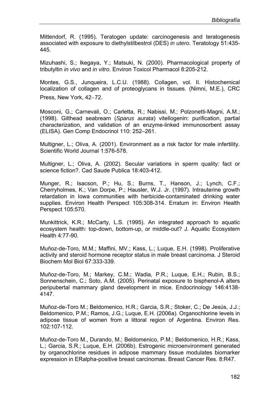Mittendorf, R. (1995). Teratogen update: carcinogenesis and teratogenesis associated with exposure to diethylstilbestrol (DES) *in utero*. Teratology 51:435- 445.

Mizuhashi, S.; Ikegaya, Y.; Matsuki, N. (2000). Pharmacological property of tributyltin *in vivo* and *in vitro*. Environ Toxicol Pharmacol 8:205-212.

Montes, G.S., Junqueira, L.C.U. (1988). Collagen, vol. II. Histochemical localization of collagen and of proteoglycans in tissues. (Nimni, M.E.), CRC Press, New York, 42**‒**72.

Mosconi, G.; Carnevali, O.; Carletta, R.; Nabissi, M.; Polzonetti-Magni, A.M.; (1998). Gilthead seabream (*Sparus aurata*) vitellogenin: purification, partial characterization, and validation of an enzyme-linked immunosorbent assay (ELISA). Gen Comp Endocrinol 110: 252–261.

Multigner, L.; Oliva, A. (2001). Environment as a risk factor for male infertility. Scientific World Journal 1:576-578.

Multigner, L.; Oliva, A. (2002). Secular variations in sperm quality: fact or science fiction?. Cad Saude Publica 18:403-412.

Munger, R.; Isacson, P.; Hu, S.; Burns, T., Hanson, J.; Lynch, C.F.; Cherryholmes, K.; Van Dorpe, P.; Hausler, W.J. Jr. (1997). Intrauterine growth retardation in Iowa communities with herbicide-contaminated drinking water supplies. Environ Health Perspect 105:308-314. Erratum in: Environ Health Perspect 105:570.

Munkittrick, K.R.; McCarty, L.S. (1995). An integrated approach to aquatic ecosystem health: top-down, bottom-up, or middle-out? J. Aquatic Ecosystem Health 4:77-90.

Muñoz-de-Toro, M.M.; Maffini, MV.; Kass, L.; Luque, E.H. (1998). Proliferative activity and steroid hormone receptor status in male breast carcinoma. J Steroid Biochem Mol Biol 67:333-339.

Muñoz-de-Toro, M.; Markey, C.M.; Wadia, P.R.; Luque, E.H.; Rubin, B.S.; Sonnenschein, C.; Soto, A.M. (2005). Perinatal exposure to bisphenol-A alters peripubertal mammary gland development in mice. Endocrinology 146:4138- 4147.

Muñoz-de-Toro M.; Beldomenico, H.R.; Garcia, S.R.; Stoker, C.; De Jesús, J.J.; Beldomenico, P.M.; Ramos, J.G.; Luque, E.H. (2006a). Organochlorine levels in adipose tissue of women from a littoral region of Argentina. Environ Res. 102:107-112.

Muñoz-de-Toro M., Durando, M.; Beldomenico, P.M.; Beldomenico, H.R.; Kass, L.; Garcia, S.R.; Luque, E.H. (2006b). Estrogenic microenvironment generated by organochlorine residues in adipose mammary tissue modulates biomarker expression in ERalpha-positive breast carcinomas. Breast Cancer Res. 8:R47.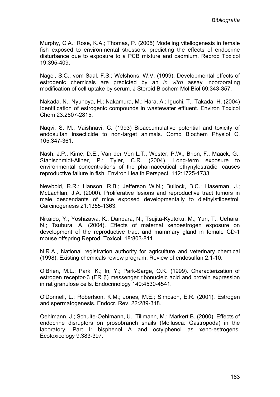Murphy, C.A.; Rose, K.A.; Thomas, P. (2005) Modeling vitellogenesis in female fish exposed to environmental stressors: predicting the effects of endocrine disturbance due to exposure to a PCB mixture and cadmium. Reprod Toxicol 19:395-409.

Nagel, S.C.; vom Saal. F.S.; Welshons, W.V. (1999). Developmental effects of estrogenic chemicals are predicted by an *in vitro* assay incorporating modification of cell uptake by serum. J Steroid Biochem Mol Biol 69:343-357.

Nakada, N.; Nyunoya, H.; Nakamura, M.; Hara, A.; Iguchi, T.; Takada, H. (2004) Identification of estrogenic compounds in wastewater effluent. Environ Toxicol Chem 23:2807-2815.

Naqvi, S. M.; Vaishnavi, C. (1993) Bioaccumulative potential and toxicity of endosulfan insecticide to non-target animals. Comp Biochem Physiol C. 105:347-361.

Nash; J.P.; Kime, D.E.; Van der Ven L.T.; Wester, P.W.; Brion, F.; Maack, G.; Stahlschmidt-Allner, P.; Tyler, C.R. (2004). Long-term exposure to environmental concentrations of the pharmaceutical ethynylestradiol causes reproductive failure in fish. Environ Health Perspect. 112:1725-1733.

Newbold, R.R.; Hanson, R.B.; Jefferson W.N.; Bullock, B.C.; Haseman, J.; McLachlan, J.A. (2000). Proliferative lesions and reproductive tract tumors in male descendants of mice exposed developmentally to diethylstilbestrol. Carcinogenesis 21:1355-1363.

Nikaido, Y.; Yoshizawa, K.; Danbara, N.; Tsujita-Kyutoku, M.; Yuri, T.; Uehara, N.; Tsubura, A. (2004). Effects of maternal xenoestrogen exposure on development of the reproductive tract and mammary gland in female CD-1 mouse offspring Reprod. Toxicol. 18:803-811.

N.R.A., National registration authority for agriculture and veterinary chemical (1998). Existing chemicals review program. Review of endosulfan 2:1-10.

O'Brien, M.L.; Park, K.; In, Y.; Park-Sarge, O.K. (1999). Characterization of estrogen receptor-β (ER β) messenger ribonucleic acid and protein expression in rat granulose cells. Endocrinology 140:4530-4541.

O'Donnell, L.; Robertson, K.M.; Jones, M.E.; Simpson, E.R. (2001). Estrogen and spermatogenesis. Endocr. Rev. 22:289-318.

Oehlmann, J.; Schulte-Oehlmann, U.; Tillmann, M.; Markert B. (2000). Effects of endocrine disruptors on prosobranch snails (Mollusca: Gastropoda) in the laboratory. Part I: bisphenol A and octylphenol as xeno-estrogens. Ecotoxicology 9:383-397.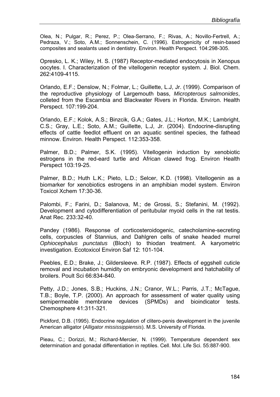Olea, N.; Pulgar, R.; Perez, P.; Olea-Serrano, F.; Rivas, A.; Novillo-Fertrell, A.; Pedraza, V.; Soto, A.M.; Sonnenschein, C. (1996). Estrogenicity of resin-based composites and sealants used in dentistry. Environ. Health Perspect. 104:298-305.

Opresko, L. K.; Wiley, H. S. (1987) Receptor-mediated endocytosis in Xenopus oocytes. I. Characterization of the vitellogenin receptor system. J. Biol. Chem. 262:4109-4115.

Orlando, E.F.; Denslow, N.; Folmar, L.; Guillette, L.J, Jr. (1999). Comparison of the reproductive physiology of Largemouth bass, *Micropterous salmonides*, colleted from the Escambia and Blackwater Rivers in Florida. Environ. Health Perspect. 107:199-204.

Orlando, E.F.; Kolok, A.S.; Binzcik, G.A.; Gates, J.L.; Horton, M.K.; Lambright, C.S.; Gray, L.E.; Soto, A.M.; Guillette, L.J, Jr. (2004). Endocrine-disrupting effects of cattle feedlot effluent on an aquatic sentinel species, the fathead minnow. Environ. Health Perspect. 112:353-358.

Palmer, B.D.; Palmer, S.K. (1995). Vitellogenin induction by xenobiotic estrogens in the red-eard turtle and African clawed frog. Environ Health Perspect 103:19-25.

Palmer, B.D.; Huth L.K.; Pieto, L.D.; Selcer, K.D. (1998). Vitellogenin as a biomarker for xenobiotics estrogens in an amphibian model system. Environ Toxicol Xchem 17:30-36.

Palombi, F.; Farini, D.; Salanova, M.; de Grossi, S.; Stefanini, M. (1992). Development and cytodifferentiation of peritubular myoid cells in the rat testis. Anat Rec. 233:32-40.

Pandey (1986). Response of corticosteroidogenic, catecholamine-secreting cells, corpuscles of Stannius, and Dahlgren cells of snake headed murrel *Ophiocephalus punctatus* (Bloch) to thiodan treatment. A karyometric investigation. Ecotoxicol Environ Saf 12: 101-104.

Peebles, E.D.; Brake, J.; Gildersleeve. R.P. (1987). Effects of eggshell cuticle removal and incubation humidity on embryonic development and hatchability of broilers. Poult Sci 66:834-840.

Petty, J.D.; Jones, S.B.; Huckins, J.N.; Cranor, W.L.; Parris, J.T.; McTague, T.B.; Boyle, T.P. (2000). An approach for assessment of water quality using semipermeable membrane devices (SPMDs) and bioindicator tests. Chemosphere 41:311-321.

Pickford, D.B. (1995). Endocrine regulation of clitero-penis development in the juvenile American alligator (*Alligator mississippiensis*). M.S. University of Florida.

Pieau, C.; Dorizzi, M.; Richard-Mercier, N. (1999). Temperature dependent sex determination and gonadal differentiation in reptiles. Cell. Mol. Life Sci. 55:887-900.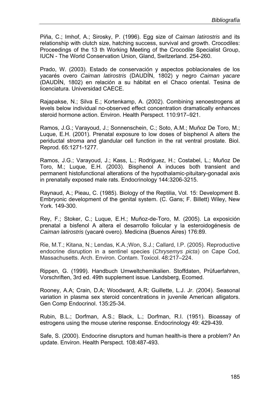Piña, C.; Imhof, A.; Sirosky, P. (1996). Egg size of *Caiman latirostris* and its relationship with clutch size, hatching success, survival and growth. Crocodiles: Proceedings of the 13 th Working Meeting of the Crocodile Specialist Group, IUCN - The World Conservation Union, Gland, Switzerland. 254-260.

Prado, W. (2003). Estado de conservación y aspectos poblacionales de los yacarés overo *Caiman latirostris* (DAUDÍN, 1802) y negro *Caiman yacare*  (DAUDÍN, 1802) en relación a su hábitat en el Chaco oriental. Tesina de licenciatura. Universidad CAECE.

Rajapakse, N.; Silva E.; Kortenkamp, A. (2002). Combining xenoestrogens at levels below individual no-observed effect concentration dramatically enhances steroid hormone action. Environ. Health Perspect. 110:917–921.

Ramos, J.G.; Varayoud, J.; Sonnenschein, C.; Soto, A.M.; Muñoz De Toro, M.; Luque, E.H. (2001). Prenatal exposure to low doses of bisphenol A alters the periductal stroma and glandular cell function in the rat ventral prostate. Biol. Reprod. 65:1271-1277.

Ramos, J.G.; Varayoud, J.; Kass, L.; Rodriguez, H.; Costabel, L.; Muñoz De Toro, M.; Luque, E.H. (2003). Bisphenol A induces both transient and permanent histofunctional alterations of the hypothalamic-pituitary-gonadal axis in prenatally exposed male rats. Endocrinology 144:3206-3215.

Raynaud, A.; Pieau, C. (1985). Biology of the Reptilia, Vol. 15: Development B. Embryonic development of the genital system. (C. Gans; F. Billett) Wiley, New York. 149-300.

Rey, F.; Stoker, C.; Luque, E.H.; Muñoz-de-Toro, M. (2005). La exposición prenatal a bisfenol A altera el desarrollo folicular y la esteroidogénesis de *Caiman latirostris* (yacaré overo). Medicina (Buenos Aires) 176:89.

Rie, M.T.; Kitana, N.; Lendas, K.A.;Won, S.J.; Callard, I.P. (2005). Reproductive endocrine disruption in a sentinel species (*Chrysemys picta*) on Cape Cod, Massachusetts. Arch. Environ. Contam. Toxicol. 48:217–224.

Rippen, G. (1999). Handbuch Umweltchemikalien. Stoffdaten, Prüfuerfahren, Vorschriften, 3rd ed. 49th supplement issue. Landsberg, Ecomed.

Rooney, A.A; Crain, D.A; Woodward, A.R; Guillette, L.J. Jr. (2004). Seasonal variation in plasma sex steroid concentrations in juvenile American alligators. Gen Comp Endocrinol. 135:25-34.

Rubin, B.L.; Dorfman, A.S.; Black, L.; Dorfman, R.I. (1951). Bioassay of estrogens using the mouse uterine response. Endocrinology 49: 429-439.

Safe, S. (2000). Endocrine disruptors and human health-is there a problem? An update. Environ. Health Perspect. 108:487-493.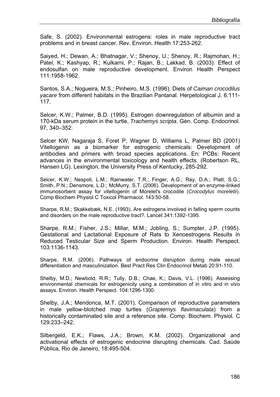Safe, S. (2002). Environmental estrogens: roles in male reproductive tract problems and in breast cancer. Rev. Environ. Health 17:253-262.

Saiyed, H.; Dewan, A.; Bhatnagar, V.; Shenoy, U.; Shenoy, R.; Rajmohan, H.; Patel, K.; Kashyap, R.; Kulkarni, P.; Rajan, B.; Lakkad, B. (2003). Effect of endosulfan on male reproductive development. Environ Health Perspect 111:1958-1962.

Santos, S.A.; Nogueira, M.S.; Pinheiro, M.S. (1996). Diets of *Caiman crocodilus yacare* from different habitats in the Brazilian Pantanal. Herpetological J. 6:111- 117.

Selcer, K.W.; Palmer, B.D. (1995). Estrogen downregulation of albumin and a 170-kDa serum protein in the turtle, *Trachemys scripta*. Gen. Comp. Endocrinol. 97, 340–352.

Selcer KW, Nagaraja S, Foret P, Wagner D, Williams L, Palmer BD (2001) Vitellogenin as a biomarker for estrogenic chemicals: Development of antibodies and primers with broad species applications. En: PCBs: Recent advances in the environmental toxicology and health effects. (Robertson RL, Hansen LG). Lexington, the University Press of Kentucky, 285-292.

Selcer, K.W.; Nespoli, L.M.; Rainwater, T.R.; Finger, A.G.; Ray, D.A.; Platt, S.G.; Smith, P.N.; Densmore, L.D.; McMurry, S.T. (2006). Development of an enzyme-linked immunosorbent assay for vitellogenin of Morelet's crocodile (*Crocodylus moreletii*). Comp Biochem Physiol C Toxicol Pharmacol. 143:50-58.

Sharpe, R.M.; Skakkebæk, N.E. (1993). Are estrogens involved in falling sperm counts and disorders on the male reproductive tract?. Lancet 341:1392-1395.

Sharpe, R.M.; Fisher, J.S.; Millar, M.M.; Jobling, S.; Sumpter, J.P. (1995). Gestational and Lactational Exposure of Rats to Xenoestrogens Results in Reduced Testicular Size and Sperm Production. Environ. Health Perspect. 103:1136-1143.

Sharpe, R.M. (2006). Pathways of endocrine disruption during male sexual differentiation and masculinization. Best Pract Res Clin Endocrinol Metab 20:91-110.

Shelby, M.D.; Newbold, R.R.; Tully, D.B.; Chae, K.; Davis, V.L. (1996). Assessing environmental chemicals for estrogenicity using a combination of in vitro and in vivo assays. Environ. Health Perspect. 104:1296-1300.

Shelby, J.A.; Mendonca, M.T. (2001). Comparison of reproductive parameters in male yellow-blotched map turtles (*Graptemys flavimaculata*) from a historically contaminated site and a reference site. Comp. Biochem. Physiol. C 129:233–242.

Silbergeld, E.K.; Flaws, J.A.; Brown, K.M. (2002). Organizational and activational effects of estrogenic endocrine disrupting chemicals. Cad. Saúde Pública, Rio de Janeiro, 18:495-504.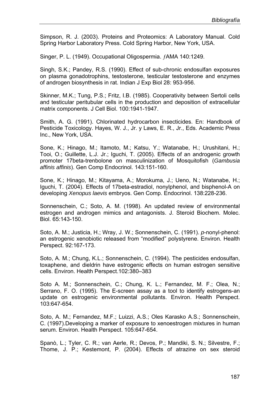Simpson, R. J. (2003). Proteins and Proteomics: A Laboratory Manual. Cold Spring Harbor Laboratory Press. Cold Spring Harbor, New York, USA.

Singer, P. L. (1949). Occupational Oligospermia. ƒAMA 140:1249.

Singh, S.K.; Pandey, R.S. (1990). Effect of sub-chronic endosulfan exposures on plasma gonadotrophins, testosterone, testicular testosterone and enzymes of androgen biosynthesis in rat. Indian J Exp Biol 28: 953-956.

Skinner, M.K.; Tung, P.S.; Fritz, I.B. (1985). Cooperativity between Sertoli cells and testicular peritubular cells in the production and deposition of extracellular matrix components. J Cell Biol. 100:1941-1947.

Smith, A. G. (1991). Chlorinated hydrocarbon insecticides. En: Handbook of Pesticide Toxicology. Hayes, W. J., Jr. y Laws, E. R., Jr., Eds. Academic Press Inc., New York, USA.

Sone, K.; Hinago, M.; Itamoto, M.; Katsu, Y.; Watanabe, H.; Urushitani, H.; Tooi, O.; Guillette, L.J. Jr.; Iguchi, T. (2005). Effects of an androgenic growth promoter 17beta-trenbolone on masculinization of Mosquitofish (*Gambusia affinis affinis*). Gen Comp Endocrinol. 143:151-160.

Sone, K.; Hinago, M.; Kitayama, A.; Morokuma, J.; Ueno, N.; Watanabe, H.; Iguchi, T. (2004). Effects of 17beta-estradiol, nonylphenol, and bisphenol-A on developing *Xenopus laevis* embryos. Gen Comp. Endocrinol. 138:228-236.

Sonnenschein, C.; Soto, A. M. (1998). An updated review of environmental estrogen and androgen mimics and antagonists. J. Steroid Biochem. Molec. Biol. 65:143-150.

Soto, A. M.; Justicia, H.; Wray, J. W.; Sonnenschein, C. (1991). *p*-nonyl-phenol: an estrogenic xenobiotic released from "modified" polystyrene. Environ. Health Perspect. 92:167-173.

Soto, A. M.; Chung, K.L.; Sonnenschein, C. (1994). The pesticides endosulfan, toxaphene, and dieldrin have estrogenic effects on human estrogen sensitive cells. Environ. Health Perspect.102:380–383

Soto A. M.; Sonnenschein, C.; Chung, K. L.; Fernandez, M. F.; Olea, N.; Serrano, F. O. (1995). The E-screen assay as a tool to identify estrogens-an update on estrogenic environmental pollutants. Environ. Health Perspect. 103:647-654.

Soto, A. M.; Fernandez, M.F.; Luizzi, A.S.; Oles Karasko A.S.; Sonnenschein, C. (1997).Developing a marker of exposure to xenoestrogen mixtures in human serum. Environ. Health Perspect. 105:647-654.

Spanò, L.; Tyler, C. R.; van Aerle, R.; Devos, P.; Mandiki, S. N.; Silvestre, F.; Thome, J. P.; Kestemont, P. (2004). Effects of atrazine on sex steroid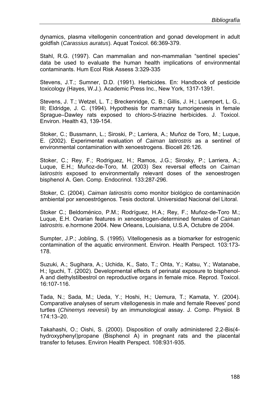dynamics, plasma vitellogenin concentration and gonad development in adult goldfish (*Carassius auratus*). Aquat Toxicol. 66:369-379.

Stahl, R.G. (1997). Can mammalian and non-mammalian "sentinel species" data be used to evaluate the human health implications of environmental contaminants. Hum Ecol Risk Assess 3:329-335

Stevens, J.T.; Sumner, D.D. (1991). Herbicides. En: Handbook of pesticide toxicology (Hayes, W.J.). Academic Press Inc., New York, 1317-1391.

Stevens, J. T.; Wetzel, L. T.; Breckenridge, C. B.; Gillis, J. H.; Luempert, L. G., III; Eldridge, J. C. (1994). Hypothesis for mammary tumorigenesis in female Sprague–Dawley rats exposed to chloro-*S*-triazine herbicides. J. Toxicol. Environ. Health 43, 139-154.

Stoker, C.; Bussmann, L.; Siroski, P.; Larriera, A.; Muñoz de Toro, M.; Luque, E. (2002). Experimental evaluation of *Caiman latirostris* as a sentinel of environmental contamination with xenoestrogens. Biocell 26:126.

Stoker, C.; Rey, F.; Rodriguez, H.; Ramos, J.G.; Sirosky, P.; Larriera, A.; Luque, E.H.; Muñoz-de-Toro, M. (2003) Sex reversal effects on *Caiman latirostris* exposed to environmentally relevant doses of the xenoestrogen bisphenol A. Gen. Comp. Endocrinol. 133:287-296.

Stoker, C. (2004). *Caiman latirostris* como monitor biológico de contaminación ambiental por xenoestrógenos. Tesis doctoral. Universidad Nacional del Litoral.

Stoker C.; Beldoménico, P.M.; Rodríguez, H.A.; Rey, F.; Muñoz-de-Toro M.; Luque, E.H. Ovarian features in xenoestrogen-determined females of *Caiman latirostris*. e.hormone 2004. New Orleans, Louisiana, U.S.A, Octubre de 2004.

Sumpter, J.P.; Jobling, S. (1995). Vitellogenesis as a biomarker for estrogenic contamination of the aquatic environment. Environ. Health Perspect. 103:173- 178.

Suzuki, A.; Sugihara, A.; Uchida, K., Sato, T.; Ohta, Y.; Katsu, Y.; Watanabe, H.; Iguchi, T. (2002). Developmental effects of perinatal exposure to bisphenol-A and diethylstilbestrol on reproductive organs in female mice. Reprod. Toxicol. 16:107-116.

Tada, N.; Sada, M.; Ueda, Y.; Hoshi, H.; Uemura, T.; Kamata, Y. (2004). Comparative analyses of serum vitellogenesis in male and female Reeves' pond turtles (*Chinemys reevesii*) by an immunological assay. J. Comp. Physiol. B 174:13–20.

Takahashi, O.; Oishi, S. (2000). Disposition of orally administered 2,2-Bis(4 hydroxyphenyl)propane (Bisphenol A) in pregnant rats and the placental transfer to fetuses. Environ Health Perspect. 108:931-935.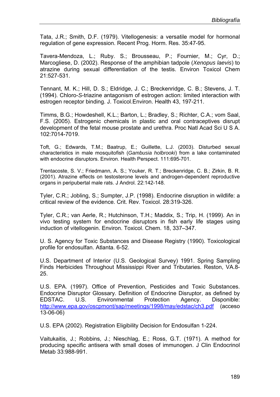Tata, J.R.; Smith, D.F. (1979). Vitellogenesis: a versatile model for hormonal regulation of gene expression. Recent Prog. Horm. Res. 35:47-95.

Tavera-Mendoza, L.; Ruby. S.; Brousseau, P.; Fournier, M.; Cyr, D.; Marcogliese, D. (2002). Response of the amphibian tadpole (*Xenopus laevis*) to atrazine during sexual differentiation of the testis. Environ Toxicol Chem 21:527-531.

Tennant, M. K.; Hill, D. S.; Eldridge, J. C.; Breckenridge, C. B.; Stevens, J. T. (1994). Chloro-*S*-triazine antagonism of estrogen action: limited interaction with estrogen receptor binding. J. Toxicol.Environ. Health 43, 197-211.

Timms, B.G.; Howdeshell, K.L.; Barton, L.; Bradley, S.; Richter, C.A.; vom Saal, F.S. (2005). Estrogenic chemicals in plastic and oral contraceptives disrupt development of the fetal mouse prostate and urethra. Proc Natl Acad Sci U S A. 102:7014-7019.

Toft, G.; Edwards, T.M.; Baatrup, E.; Guillette, L.J. (2003). Disturbed sexual characteristics in male mosquitofish (*Gambusia holbrooki*) from a lake contaminated with endocrine disruptors. Environ. Health Perspect. 111:695-701.

Trentacoste, S. V.; Friedmann, A. S.; Youker, R. T.; Breckenridge, C. B.; Zirkin, B. R. (2001). Atrazine effects on testosterone levels and androgen-dependent reproductive organs in peripubertal male rats. J Androl. 22:142-148.

Tyler, C.R.; Jobling, S.; Sumpter, J.P. (1998). Endocrine disruption in wildlife: a critical review of the evidence. Crit. Rev. Toxicol. 28:319-326.

Tyler, C.R.; van Aerle, R.; Hutchinson, T.H.; Maddix, S.; Trip, H. (1999). An in vivo testing system for endocrine disruptors in fish early life stages using induction of vitellogenin. Environ. Toxicol. Chem. 18, 337–347.

U. S. Agency for Toxic Substances and Disease Registry (1990). Toxicological profile for endosulfan. Atlanta. 6-52.

U.S. Department of Interior (U.S. Geological Survey) 1991. Spring Sampling Finds Herbicides Throughout Mississippi River and Tributaries. Reston, VA.8- 25.

U.S. EPA. (1997). Office of Prevention, Pesticides and Toxic Substances. Endocrine Disruptor Glossary. Definition of Endocrine Disruptor, as defined by EDSTAC. U.S. Environmental Protection Agency. Disponible: http://www.epa.gov/oscpmont/sap/meetings/1998/may/edstac/ch3.pdf (acceso 13-06-06)

U.S. EPA (2002). Registration Eligibility Decision for Endosulfan 1-224.

Vaitukaitis, J.; Robbins, J.; Nieschlag, E.; Ross, G.T. (1971). A method for producing specific antisera with small doses of immunogen. J Clin Endocrinol Metab 33:988-991.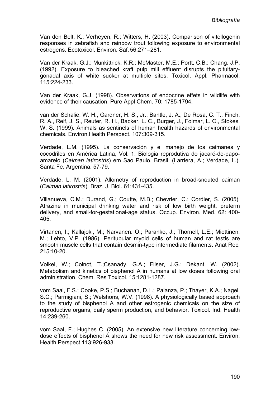Van den Belt, K.; Verheyen, R.; Witters, H. (2003). Comparison of vitellogenin responses in zebrafish and rainbow trout following exposure to environmental estrogens. Ecotoxicol. Environ. Saf. 56:271–281.

Van der Kraak, G.J.; Munkittrick, K.R.; McMaster, M.E.; Portt, C.B.; Chang, J.P. (1992). Exposure to bleached kraft pulp mill effluent disrupts the pituitarygonadal axis of white sucker at multiple sites. Toxicol. Appl. Pharmacol. 115:224-233.

Van der Kraak, G.J. (1998). Observations of endocrine effets in wildlife with evidence of their causation. Pure Appl Chem. 70: 1785-1794.

van der Schalie, W. H., Gardner, H. S., Jr., Bantle, J. A., De Rosa, C. T., Finch, R. A., Reif, J. S., Reuter, R. H., Backer, L. C., Burger, J., Folmar, L. C., Stokes, W. S. (1999). Animals as sentinels of human health hazards of environmental chemicals. Environ.Health Perspect. 107:309-315.

Verdade, L.M. (1995). La conservación y el manejo de los caimanes y cocodrilos en América Latina, Vol. 1. Biologia reprodutiva do jacaré-de-papoamarelo (*Caiman latirostris*) em Sao Paulo, Brasil. (Larriera, A.; Verdade, L.). Santa Fe, Argentina. 57-79.

Verdade, L. M. (2001). Allometry of reproduction in broad-snouted caiman (*Caiman latirostris*). Braz. J. Biol. 61:431-435.

Villanueva, C.M.; Durand, G.; Coutte, M.B.; Chevrier, C.; Cordier, S. (2005). Atrazine in municipal drinking water and risk of low birth weight, preterm delivery, and small-for-gestational-age status. Occup. Environ. Med. 62: 400- 405.

Virtanen, I.; Kallajoki, M.; Narvanen. O.; Paranko, J.; Thornell, L.E.; Miettinen, M.; Lehto, V.P. (1986). Peritubular myoid cells of human and rat testis are smooth muscle cells that contain desmin-type intermediate filaments. Anat Rec. 215:10-20.

Volkel, W.; Colnot, T.;Csanady, G.A.; Filser, J.G.; Dekant, W. (2002). Metabolism and kinetics of bisphenol A in humans at low doses following oral administration. Chem. Res Toxicol. 15:1281-1287.

vom Saal, F.S.; Cooke, P.S.; Buchanan, D.L.; Palanza, P.; Thayer, K.A.; Nagel, S.C.; Parmigiani, S.; Welshons, W.V. (1998). A physiologically based approach to the study of bisphenol A and other estrogenic chemicals on the size of reproductive organs, daily sperm production, and behavior. Toxicol. Ind. Health 14:239-260.

vom Saal, F.; Hughes C. (2005). An extensive new literature concerning lowdose effects of bisphenol A shows the need for new risk assessment. Environ. Health Perspect 113:926-933.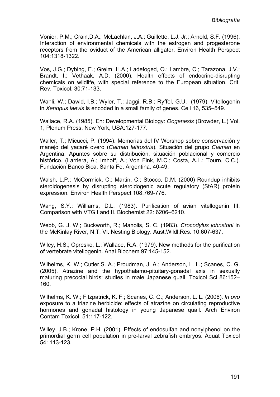Vonier, P.M.; Crain,D.A.; McLachlan, J.A.; Guillette, L.J. Jr.; Arnold, S.F. (1996). Interaction of environmental chemicals with the estrogen and progesterone receptors from the oviduct of the American alligator. Environ Health Perspect 104:1318-1322.

Vos, J.G.; Dybing, E.; Greim, H.A.; Ladefoged, O.; Lambre, C.; Tarazona, J.V.; Brandt, I.; Vethaak, A.D. (2000). Health effects of endocrine-disrupting chemicals on wildlife, with special reference to the European situation. Crit. Rev. Toxicol. 30:71-133.

Wahli, W.; Dawid, I.B.; Wyler, T.; Jaggi, R.B.; Ryffel, G.U. (1979). Vitellogenin in *Xenopus laevis* is encoded in a small family of genes. Cell 16, 535–549.

Wallace, R.A. (1985). En: Developmental Biology: *Oogenesis* (Browder, L.) Vol. 1, Plenum Press, New York, USA:127-177.

Waller, T.; Micucci, P. (1994). Memorias del IV Worshop sobre conservación y manejo del yacaré overo (*Caiman latirostris*). Situación del grupo *Caiman* en Argentina. Apuntes sobre su distribución, situación poblacional y comercio histórico. (Larriera, A.; Imhoff, A.; Von Fink, M.C.; Costa, A.L.; Tourn, C.C.). Fundación Banco Bica. Santa Fe, Argentina. 40-49.

Walsh, L.P.; McCormick, C.; Martin, C.; Stocco, D.M. (2000) Roundup inhibits steroidogenesis by disrupting steroidogenic acute regulatory (StAR) protein expression. Environ Health Perspect 108:769-776.

Wang, S.Y.; Williams, D.L. (1983). Purification of avian vitellogenin III. Comparison with VTG I and II. Biochemist 22: 6206–6210.

Webb, G. J. W.; Buckworth, R.; Manolis, S. C. (1983). *Crocodylus johnstoni* in the McKinlay River, N.T. VI. Nesting Biology. Aust.Wildl.Res*.* 10:607-637.

Wiley, H.S.; Opresko, L.; Wallace, R.A. (1979). New methods for the purification of vertebrate vitellogenin. Anal Biochem 97:145-152.

Wilhelms, K. W.; Cutler,S. A.; Proudman, J. A.; Anderson, L. L.; Scanes, C. G. (2005). Atrazine and the hypothalamo-pituitary-gonadal axis in sexually maturing precocial birds: studies in male Japanese quail. Toxicol Sci 86:152– 160.

Wilhelms, K. W.; Fitzpatrick, K. F.; Scanes, C. G.; Anderson, L. L. (2006). *In ovo* exposure to a triazine herbicide: effects of atrazine on circulating reproductive hormones and gonadal histology in young Japanese quail. Arch Environ Contam Toxicol. 51:117-122.

Willey, J.B.; Krone, P.H. (2001). Effects of endosulfan and nonylphenol on the primordial germ cell population in pre-larval zebrafish embryos. Aquat Toxicol 54: 113-123.